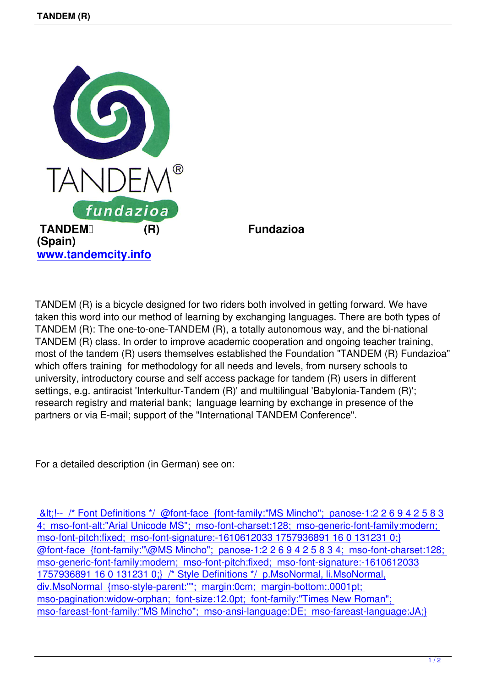

[TANDEM \(R\) is a bicycle d](http://www.tandemcity.info)esigned for two riders both involved in getting forward. We have taken this word into our method of learning by exchanging languages. There are both types of TANDEM (R): The one-to-one-TANDEM (R), a totally autonomous way, and the bi-national TANDEM (R) class. In order to improve academic cooperation and ongoing teacher training, most of the tandem (R) users themselves established the Foundation "TANDEM (R) Fundazioa" which offers training for methodology for all needs and levels, from nursery schools to university, introductory course and self access package for tandem (R) users in different settings, e.g. antiracist 'Interkultur-Tandem (R)' and multilingual 'Babylonia-Tandem (R)'; research registry and material bank; language learning by exchange in presence of the partners or via E-mail; support of the "International TANDEM Conference".

For a detailed description (in German) see on:

 <!-- /\* Font Definitions \*/ @font-face {font-family:"MS Mincho"; panose-1:2 2 6 9 4 2 5 8 3 4; mso-font-alt:"Arial Unicode MS"; mso-font-charset:128; mso-generic-font-family:modern; mso-font-pitch:fixed; mso-font-signature:-1610612033 1757936891 16 0 131231 0;} [@font-face {font-family:"\@MS Mincho"; panose-1:2 2 6 9 4 2 5 8 3 4; mso-font-charset:128;](http://de.wikipedia.org/wiki/Tandem_(Sprachlernmethode)) [mso-generic-font-family:modern; mso-font-pitch:fixed; mso-font-signature:-1610612033](http://de.wikipedia.org/wiki/Tandem_(Sprachlernmethode)) [1757936891 16 0 131231 0;} /\\* Style Definitions \\*/ p.MsoNormal, li.MsoNormal,](http://de.wikipedia.org/wiki/Tandem_(Sprachlernmethode)) [div.MsoNormal {mso-style-parent:""; margin:0cm; margin-bottom:.0001pt;](http://de.wikipedia.org/wiki/Tandem_(Sprachlernmethode))  [mso-pagination:widow-orphan; font-size:12.0pt; font-family:"Times New Roman";](http://de.wikipedia.org/wiki/Tandem_(Sprachlernmethode))  [mso-fareast-font-family:"MS Mincho"; mso-ansi-language:DE; mso-fareast-langu](http://de.wikipedia.org/wiki/Tandem_(Sprachlernmethode))age:JA;}